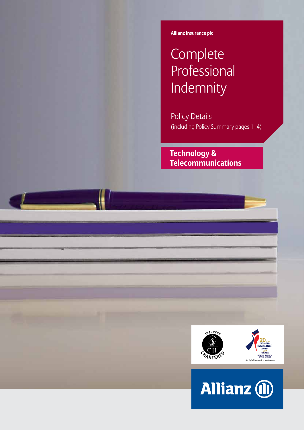**Allianz Insurance plc Allianz Insurance plc**

# **Complete** Professional Indemnity

Policy Details (including Policy Summary pages 1–4)

 **Technology & Telecommunications**



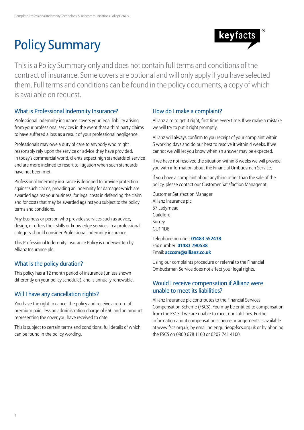# Policy Summary



This is a Policy Summary only and does not contain full terms and conditions of the contract of insurance. Some covers are optional and will only apply if you have selected them. Full terms and conditions can be found in the policy documents, a copy of which is available on request.

## What is Professional Indemnity Insurance?

Professional Indemnity insurance covers your legal liability arising from your professional services in the event that a third party claims to have suffered a loss as a result of your professional negligence.

Professionals may owe a duty of care to anybody who might reasonably rely upon the service or advice they have provided. In today's commercial world, clients expect high standards of service and are more inclined to resort to litigation when such standards have not been met.

Professional Indemnity insurance is designed to provide protection against such claims, providing an indemnity for damages which are awarded against your business, for legal costs in defending the claim and for costs that may be awarded against you subject to the policy terms and conditions.

Any business or person who provides services such as advice, design, or offers their skills or knowledge services in a professional category should consider Professional Indemnity insurance.

This Professional Indemnity insurance Policy is underwritten by Allianz Insurance plc.

# What is the policy duration?

This policy has a 12 month period of insurance (unless shown differently on your policy schedule), and is annually renewable.

# Will I have any cancellation rights?

You have the right to cancel the policy and receive a return of premium paid, less an administration charge of £50 and an amount representing the cover you have received to date.

This is subject to certain terms and conditions, full details of which can be found in the policy wording.

### How do I make a complaint?

Allianz aim to get it right, first time every time. If we make a mistake we will try to put it right promptly.

Allianz will always confirm to you receipt of your complaint within 5 working days and do our best to resolve it within 4 weeks. If we cannot we will let you know when an answer may be expected.

If we have not resolved the situation within 8 weeks we will provide you with information about the Financial Ombudsman Service.

If you have a complaint about anything other than the sale of the policy, please contact our Customer Satisfaction Manager at:

Customer Satisfaction Manager Allianz Insurance plc 57 Ladymead Guildford Surrey GU1 1DB

Telephone number: **01483 552438** Fax number: **01483 790538** Email: **acccsm@allianz.co.uk**

Using our complaints procedure or referral to the Financial Ombudsman Service does not affect your legal rights.

### Would I receive compensation if Allianz were unable to meet its liabilities?

Allianz Insurance plc contributes to the Financial Services Compensation Scheme (FSCS). You may be entitled to compensation from the FSCS if we are unable to meet our liabilities. Further information about compensation scheme arrangements is available at www.fscs.org.uk, by emailing enquiries@fscs.org.uk or by phoning the FSCS on 0800 678 1100 or 0207 741 4100.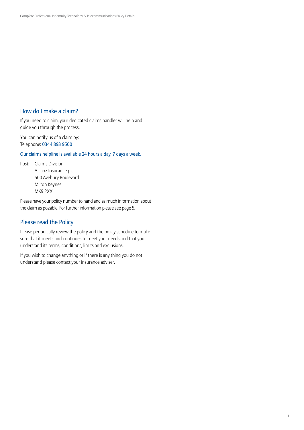### How do I make a claim?

If you need to claim, your dedicated claims handler will help and guide you through the process.

You can notify us of a claim by: Telephone: 0344 893 9500

Our claims helpline is available 24 hours a day, 7 days a week.

Post: Claims Division Allianz Insurance plc 500 Avebury Boulevard Milton Keynes MK9 2XX

Please have your policy number to hand and as much information about the claim as possible. For further information please see page 5.

### Please read the Policy

Please periodically review the policy and the policy schedule to make sure that it meets and continues to meet your needs and that you understand its terms, conditions, limits and exclusions.

If you wish to change anything or if there is any thing you do not understand please contact your insurance adviser.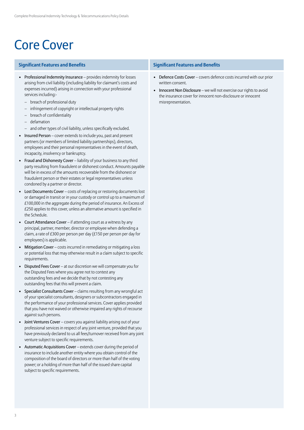# Core Cover

#### **Significant Features and Benefits Significant Features and Benefits**

- Professional Indemnity Insurance provides indemnity for losses arising from civil liability (including liability for claimant's costs and expenses incurred) arising in connection with your professional services including:-
	- breach of professional duty
	- infringement of copyright or intellectual property rights
	- breach of confidentiality
	- defamation
	- and other types of civil liability, unless specifically excluded.
- Insured Person cover extends to include you, past and present partners (or members of limited liability partnerships), directors, employees and their personal representatives in the event of death, incapacity, insolvency or bankruptcy.
- Fraud and Dishonesty Cover liability of your business to any third party resulting from fraudulent or dishonest conduct. Amounts payable will be in excess of the amounts recoverable from the dishonest or fraudulent person or their estates or legal representatives unless condoned by a partner or director.
- Lost Documents Cover costs of replacing or restoring documents lost or damaged in transit or in your custody or control up to a maximum of £100,000 in the aggregate during the period of insurance. An Excess of £250 applies to this cover, unless an alternative amount is specified in the Schedule.
- Court Attendance Cover if attending court as a witness by any principal, partner, member, director or employee when defending a claim, a rate of £300 per person per day (£150 per person per day for employees) is applicable.
- Mitigation Cover costs incurred in remediating or mitigating a loss or potential loss that may otherwise result in a claim subject to specific requirements.
- Disputed Fees Cover at our discretion we will compensate you for the Disputed Fees where you agree not to contest any outstanding fees and we decide that by not contesting any outstanding fees that this will prevent a claim.
- Specialist Consultants Cover claims resulting from any wrongful act of your specialist consultants, designers or subcontractors engaged in the performance of your professional services. Cover applies provided that you have not waived or otherwise impaired any rights of recourse against such persons.
- Joint Ventures Cover covers you against liability arising out of your professional services in respect of any joint venture, provided that you have previously declared to us all fees/turnover received from any joint venture subject to specific requirements.
- Automatic Acquisitions Cover extends cover during the period of insurance to include another entity where you obtain control of the composition of the board of directors or more than half of the voting power; or a holding of more than half of the issued share capital subject to specific requirements.

- Defence Costs Cover covers defence costs incurred with our prior written consent.
- Innocent Non Disclosure we will not exercise our rights to avoid the insurance cover for innocent non-disclosure or innocent misrepresentation.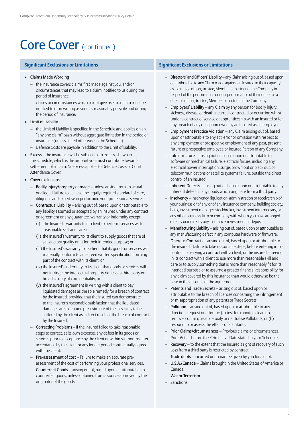# Core Cover (continued)

#### **Significant Exclusions or Limitations Significant Exclusions or Limitations**

#### • Claims Made Wording

- the insurance covers claims first made against you, and/or circumstances that may lead to a claim, notified to us during the period of insurance
- claims or circumstances which might give rise to a claim must be notified to us in writing as soon as reasonably possible and during the period of insurance.
- Limit of Liability
	- the Limit of Liability is specified in the Schedule and applies on an "any one claim" basis without aggregate limitation in the period of insurance (unless stated otherwise in the Schedule)
	- Defence Costs are payable in addition to the Limit of Liability.
- Excess the insurance will be subject to an excess, shown in the Schedule, which is the amount you must contribute towards settlement of a claim. No excess applies to Defence Costs or Court Attendance Cover.
- Cover exclusions:
	- Bodily injury/property damage unless arising from an actual or alleged failure to achieve the legally required standard of care, diligence and expertise in performing your professional services.
	- Contractual Liability arising out of, based upon or attributable to any liability assumed or accepted by an Insured under any contract or agreement or any guarantee, warranty or indemnity except;
		- (i) the Insured's warranty to its client to perform services with reasonable skill and care; or
		- (ii) the Insured's warranty to its client to supply goods that are of satisfactory quality or fit for their intended purpose; or
		- (iii) the Insured's warranty to its client that its goods or services will materially conform to an agreed written specification forming part of the contract with its client; or
		- (iv) the Insured's indemnity to its client that goods or services will not infringe the intellectual property rights of a third party or breach a duty of confidentiality; or
		- (v) the Insured's agreement in writing with a client to pay liquidated damages as the sole remedy for a breach of contract by the Insured, provided that the Insured can demonstrate to the Insurer's reasonable satisfaction that the liquidated damages are a genuine pre-estimate of the loss likely to be suffered by the client as a direct result of the breach of contract by the Insured.
	- Correcting Problems If the Insured failed to take reasonable steps to correct, at its own expense, any defect in its goods or services prior to acceptance by the client or within six months after acceptance by the client or any longer period contractually agreed with the client.
	- Pre-assessment of cost Failure to make an accurate preassessment of the cost of performing your professional services.
	- Counterfeit Goods arising out of, based upon or attributable to counterfeit goods, unless obtained from a source approved by the originator of the goods.

- Directors' and Officers' Liability any Claim arising out of, based upon or attributable to any Claim made against an Insured in their capacity as a director, officer, trustee, Member or partner of the Company in respect of the performance or non-performance of their duties as a director, officer, trustee, Member or partner of the Company.
- Employers' Liability any Claim by any person for bodily injury, sickness, disease or death incurred, contracted or occurring whilst under a contract of service or apprenticeship with an Insured or for any breach of any obligation owed by an Insured as an employer.
- Employment Practice Violation any Claim arising out of, based upon or attributable to any act, error or omission with respect to any employment or prospective employment of any past, present, future or prospective employee or Insured Person of any Company.
- Infrastructure arising out of, based upon or attributable to software or mechanical failure, electrical failure, including any electrical power interruption, surge, brown out or black out, or telecommunications or satellite systems failure, outside the direct control of an Insured.
- Inherent Defects arising out of, based upon or attributable to any inherent defect in any goods which originate from a third party.
- Insolvency Insolvency, liquidation, administration or receivership of your business or of any or of any insurance company, building society, bank, investment manager, stockbroker, investment intermediary, or any other business, firm or company with whom you have arranged directly or indirectly any insurance, investment or deposits.
- Manufacturing Liability arising out of, based upon or attributable to any manufacturing defect in any computer hardware or firmware.
- Onerous Contracts arising out of, based upon or attributable to the insured's failure to take reasonable steps, before entering into a contract or varying a contract with a client, or the insured agreeing in its contract with a client to use more than reasonable skill and care or to supply something that is more than reasonably fit for its intended purpose or to assume a greater financial responsibility for any claim covered by this insurance than would otherwise be the case in the absence of the agreement.
- Patents and Trade Secrets arising out of, based upon or attributable to the breach of licences concerning the infringement or misappropriation of any patents or Trade Secrets.
- Pollution arising out of, based upon or attributable to any direction, request or effort to: (a) test for, monitor, clean up, remove, contain, treat, detoxify or neutralise Pollutants, or (b) respond to or assess the effects of Pollutants.
- Prior Claims/circumstances Previous claims or circumstances.
- Prior Acts before the Retroactive Date stated in your Schedule.
- Recovery to the extent that the Insured's right of recovery of such Loss from a third party is restricted by contract.
- Trade debts incurred or quarantee given by you for a debt.
- U.S.A./Canada Claims brought in the United States of America or Canada.
- War or Terrorism
- **Sanctions**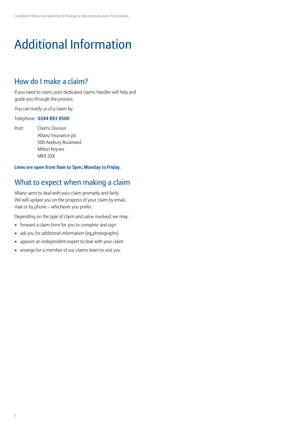# Additional Information

# How do I make a claim?

If you need to claim, your dedicated claims handler will help and guide you through the process.

You can notify us of a claim by:

#### Telephone: **0344 893 9500**

Post: Claims Division Allianz Insurance plc 500 Avebury Boulevard Milton Keynes MK9 2XX

### **Lines are open from 9am to 5pm, Monday to Friday.**

# What to expect when making a claim

Allianz aims to deal with your claim promptly and fairly. We will update you on the progress of your claim by email, mail or by phone – whichever you prefer.

Depending on the type of claim and value involved, we may:

- forward a claim form for you to complete and sign
- ask you for additional information (eg,photographs)
- appoint an independent expert to deal with your claim
- arrange for a member of our claims team to visit you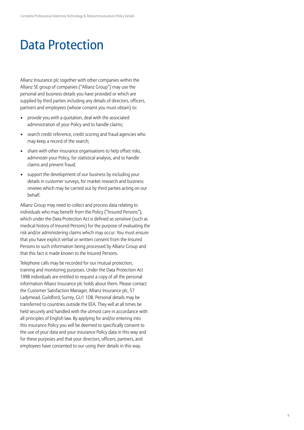# Data Protection

Allianz Insurance plc together with other companies within the Allianz SE group of companies ("Allianz Group") may use the personal and business details you have provided or which are supplied by third parties including any details of directors, officers, partners and employees (whose consent you must obtain) to:

- provide you with a quotation, deal with the associated administration of your Policy and to handle claims;
- search credit reference, credit scoring and fraud agencies who may keep a record of the search;
- share with other insurance organisations to help offset risks, administer your Policy, for statistical analysis, and to handle claims and prevent fraud;
- support the development of our business by including your details in customer surveys, for market research and business reviews which may be carried out by third parties acting on our behalf.

Allianz Group may need to collect and process data relating to individuals who may benefit from the Policy ("Insured Persons"), which under the Data Protection Act is defined as sensitive (such as medical history of Insured Persons) for the purpose of evaluating the risk and/or administering claims which may occur. You must ensure that you have explicit verbal or written consent from the Insured Persons to such information being processed by Allianz Group and that this fact is made known to the Insured Persons.

Telephone calls may be recorded for our mutual protection, training and monitoring purposes. Under the Data Protection Act 1998 individuals are entitled to request a copy of all the personal information Allianz Insurance plc holds about them. Please contact the Customer Satisfaction Manager, Allianz Insurance plc, 57 Ladymead, Guildford, Surrey, GU1 1DB. Personal details may be transferred to countries outside the EEA. They will at all times be held securely and handled with the utmost care in accordance with all principles of English law. By applying for and/or entering into this insurance Policy you will be deemed to specifically consent to the use of your data and your insurance Policy data in this way and for these purposes and that your directors, officers, partners, and employees have consented to our using their details in this way.